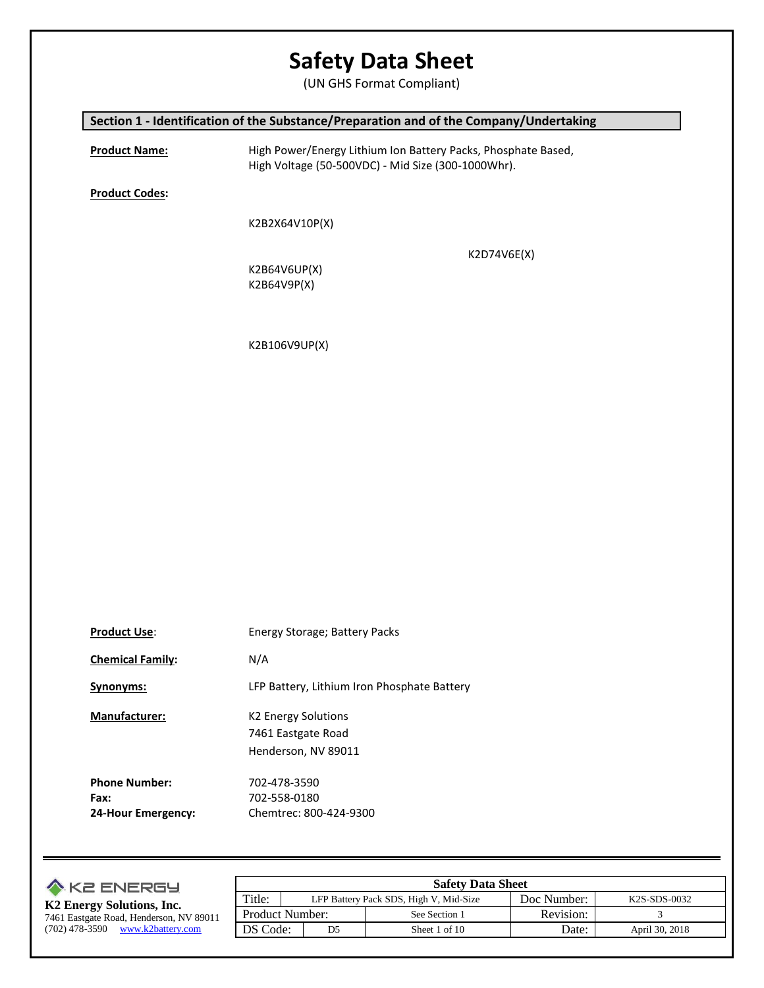(UN GHS Format Compliant)

### **Section 1 - Identification of the Substance/Preparation and of the Company/Undertaking**

**Product Name:** High Power/Energy Lithium Ion Battery Packs, Phosphate Based, High Voltage (50-500VDC) - Mid Size (300-1000Whr).

**Product Codes:**

K2B2X64V10P(X)

K2D74V6E(X)

K2B64V6UP(X) K2B64V9P(X)

K2B106V9UP(X)

| <b>Product Use:</b>     | Energy Storage; Battery Packs               |
|-------------------------|---------------------------------------------|
| <b>Chemical Family:</b> | N/A                                         |
| Synonyms:               | LFP Battery, Lithium Iron Phosphate Battery |
| <b>Manufacturer:</b>    | K <sub>2</sub> Energy Solutions             |
|                         | 7461 Eastgate Road                          |
|                         | Henderson, NV 89011                         |
| <b>Phone Number:</b>    | 702-478-3590                                |
| Fax:                    | 702-558-0180                                |
| 24-Hour Emergency:      | Chemtrec: 800-424-9300                      |

| <b>A KE ENERGY</b>                      | <b>Safety Data Sheet</b> |                                        |               |             |                |
|-----------------------------------------|--------------------------|----------------------------------------|---------------|-------------|----------------|
| K2 Energy Solutions, Inc.               | Title:                   | LFP Battery Pack SDS, High V, Mid-Size |               | Doc Number: | K2S-SDS-0032   |
| 7461 Eastgate Road, Henderson, NV 89011 | <b>Product Number:</b>   |                                        | See Section 1 | Revision:   |                |
| (702) 478-3590<br>www.k2battery.com     | DS Code:                 | D5                                     | Sheet 1 of 10 | Date:       | April 30, 2018 |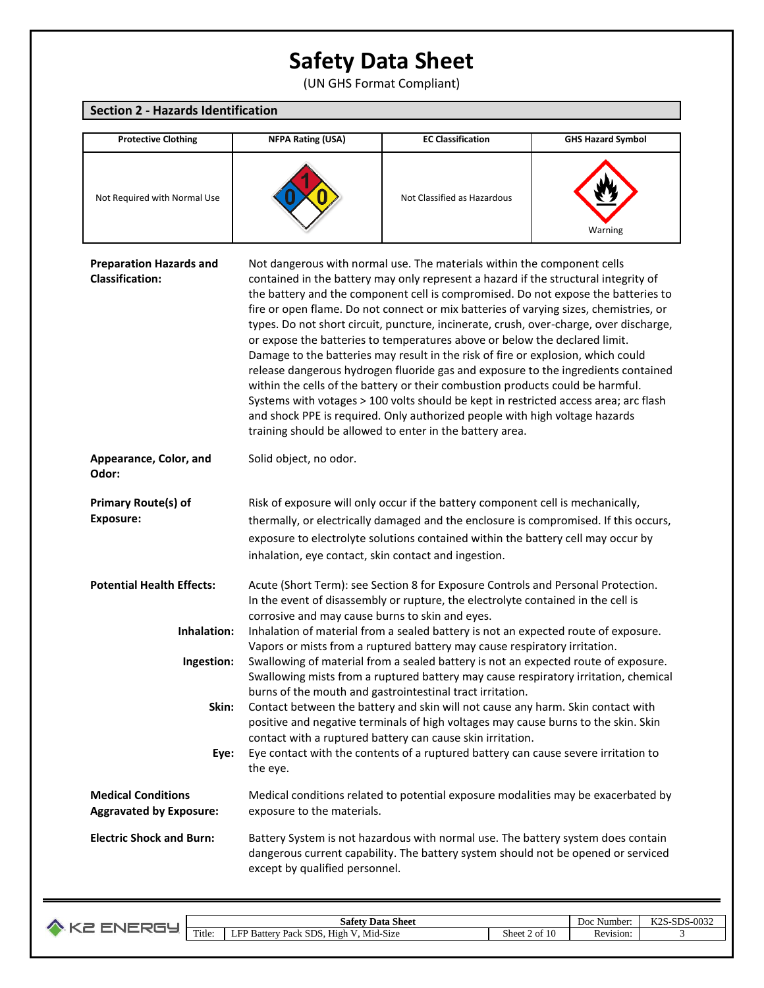(UN GHS Format Compliant)

### **Section 2 - Hazards Identification**

| <b>Protective Clothing</b>                                  | <b>NFPA Rating (USA)</b>                                                                                                                                                                                                                                                                                                                                                                                                                                                                                                                                                                                                                                                                                                                                                                                                                                                                                                                                                                                           | <b>EC Classification</b>                                                                                                                                                                                                                                    | <b>GHS Hazard Symbol</b> |  |
|-------------------------------------------------------------|--------------------------------------------------------------------------------------------------------------------------------------------------------------------------------------------------------------------------------------------------------------------------------------------------------------------------------------------------------------------------------------------------------------------------------------------------------------------------------------------------------------------------------------------------------------------------------------------------------------------------------------------------------------------------------------------------------------------------------------------------------------------------------------------------------------------------------------------------------------------------------------------------------------------------------------------------------------------------------------------------------------------|-------------------------------------------------------------------------------------------------------------------------------------------------------------------------------------------------------------------------------------------------------------|--------------------------|--|
| Not Required with Normal Use                                |                                                                                                                                                                                                                                                                                                                                                                                                                                                                                                                                                                                                                                                                                                                                                                                                                                                                                                                                                                                                                    | Not Classified as Hazardous                                                                                                                                                                                                                                 | Warning                  |  |
| <b>Preparation Hazards and</b><br><b>Classification:</b>    | Not dangerous with normal use. The materials within the component cells<br>contained in the battery may only represent a hazard if the structural integrity of<br>the battery and the component cell is compromised. Do not expose the batteries to<br>fire or open flame. Do not connect or mix batteries of varying sizes, chemistries, or<br>types. Do not short circuit, puncture, incinerate, crush, over-charge, over discharge,<br>or expose the batteries to temperatures above or below the declared limit.<br>Damage to the batteries may result in the risk of fire or explosion, which could<br>release dangerous hydrogen fluoride gas and exposure to the ingredients contained<br>within the cells of the battery or their combustion products could be harmful.<br>Systems with votages > 100 volts should be kept in restricted access area; arc flash<br>and shock PPE is required. Only authorized people with high voltage hazards<br>training should be allowed to enter in the battery area. |                                                                                                                                                                                                                                                             |                          |  |
| Appearance, Color, and<br>Odor:                             | Solid object, no odor.                                                                                                                                                                                                                                                                                                                                                                                                                                                                                                                                                                                                                                                                                                                                                                                                                                                                                                                                                                                             |                                                                                                                                                                                                                                                             |                          |  |
| <b>Primary Route(s) of</b><br><b>Exposure:</b>              | inhalation, eye contact, skin contact and ingestion.                                                                                                                                                                                                                                                                                                                                                                                                                                                                                                                                                                                                                                                                                                                                                                                                                                                                                                                                                               | Risk of exposure will only occur if the battery component cell is mechanically,<br>thermally, or electrically damaged and the enclosure is compromised. If this occurs,<br>exposure to electrolyte solutions contained within the battery cell may occur by |                          |  |
| <b>Potential Health Effects:</b>                            | corrosive and may cause burns to skin and eyes.                                                                                                                                                                                                                                                                                                                                                                                                                                                                                                                                                                                                                                                                                                                                                                                                                                                                                                                                                                    | Acute (Short Term): see Section 8 for Exposure Controls and Personal Protection.<br>In the event of disassembly or rupture, the electrolyte contained in the cell is                                                                                        |                          |  |
| Inhalation:                                                 |                                                                                                                                                                                                                                                                                                                                                                                                                                                                                                                                                                                                                                                                                                                                                                                                                                                                                                                                                                                                                    | Inhalation of material from a sealed battery is not an expected route of exposure.                                                                                                                                                                          |                          |  |
| Ingestion:                                                  | Vapors or mists from a ruptured battery may cause respiratory irritation.<br>Swallowing of material from a sealed battery is not an expected route of exposure.<br>Swallowing mists from a ruptured battery may cause respiratory irritation, chemical<br>burns of the mouth and gastrointestinal tract irritation.                                                                                                                                                                                                                                                                                                                                                                                                                                                                                                                                                                                                                                                                                                |                                                                                                                                                                                                                                                             |                          |  |
| Skin:                                                       |                                                                                                                                                                                                                                                                                                                                                                                                                                                                                                                                                                                                                                                                                                                                                                                                                                                                                                                                                                                                                    | Contact between the battery and skin will not cause any harm. Skin contact with<br>positive and negative terminals of high voltages may cause burns to the skin. Skin                                                                                       |                          |  |
| Eye:                                                        | the eye.                                                                                                                                                                                                                                                                                                                                                                                                                                                                                                                                                                                                                                                                                                                                                                                                                                                                                                                                                                                                           | contact with a ruptured battery can cause skin irritation.<br>Eye contact with the contents of a ruptured battery can cause severe irritation to                                                                                                            |                          |  |
| <b>Medical Conditions</b><br><b>Aggravated by Exposure:</b> | exposure to the materials.                                                                                                                                                                                                                                                                                                                                                                                                                                                                                                                                                                                                                                                                                                                                                                                                                                                                                                                                                                                         | Medical conditions related to potential exposure modalities may be exacerbated by                                                                                                                                                                           |                          |  |
| <b>Electric Shock and Burn:</b>                             | except by qualified personnel.                                                                                                                                                                                                                                                                                                                                                                                                                                                                                                                                                                                                                                                                                                                                                                                                                                                                                                                                                                                     | Battery System is not hazardous with normal use. The battery system does contain<br>dangerous current capability. The battery system should not be opened or serviced                                                                                       |                          |  |

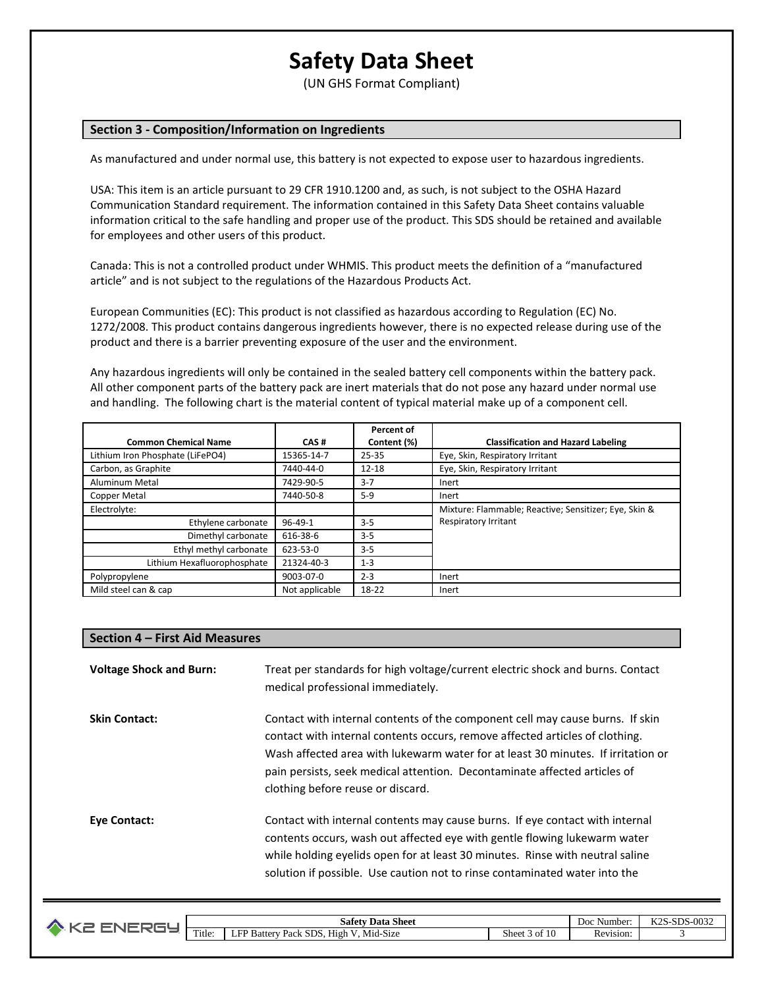(UN GHS Format Compliant)

#### **Section 3 - Composition/Information on Ingredients**

As manufactured and under normal use, this battery is not expected to expose user to hazardous ingredients.

USA: This item is an article pursuant to 29 CFR 1910.1200 and, as such, is not subject to the OSHA Hazard Communication Standard requirement. The information contained in this Safety Data Sheet contains valuable information critical to the safe handling and proper use of the product. This SDS should be retained and available for employees and other users of this product.

Canada: This is not a controlled product under WHMIS. This product meets the definition of a "manufactured article" and is not subject to the regulations of the Hazardous Products Act.

European Communities (EC): This product is not classified as hazardous according to Regulation (EC) No. 1272/2008. This product contains dangerous ingredients however, there is no expected release during use of the product and there is a barrier preventing exposure of the user and the environment.

Any hazardous ingredients will only be contained in the sealed battery cell components within the battery pack. All other component parts of the battery pack are inert materials that do not pose any hazard under normal use and handling. The following chart is the material content of typical material make up of a component cell.

|                                  |                | Percent of  |                                                       |
|----------------------------------|----------------|-------------|-------------------------------------------------------|
| <b>Common Chemical Name</b>      | CAS#           | Content (%) | <b>Classification and Hazard Labeling</b>             |
| Lithium Iron Phosphate (LiFePO4) | 15365-14-7     | 25-35       | Eye, Skin, Respiratory Irritant                       |
| Carbon, as Graphite              | 7440-44-0      | $12 - 18$   | Eye, Skin, Respiratory Irritant                       |
| Aluminum Metal                   | 7429-90-5      | $3 - 7$     | Inert                                                 |
| <b>Copper Metal</b>              | 7440-50-8      | $5-9$       | Inert                                                 |
| Electrolyte:                     |                |             | Mixture: Flammable; Reactive; Sensitizer; Eye, Skin & |
| Ethylene carbonate               | $96 - 49 - 1$  | $3 - 5$     | Respiratory Irritant                                  |
| Dimethyl carbonate               | 616-38-6       | $3 - 5$     |                                                       |
| Ethyl methyl carbonate           | 623-53-0       | $3 - 5$     |                                                       |
| Lithium Hexafluorophosphate      | 21324-40-3     | $1 - 3$     |                                                       |
| Polypropylene                    | 9003-07-0      | $2 - 3$     | Inert                                                 |
| Mild steel can & cap             | Not applicable | 18-22       | Inert                                                 |

#### **Section 4 – First Aid Measures**

**Voltage Shock and Burn:** Treat per standards for high voltage/current electric shock and burns. Contact medical professional immediately. **Skin Contact:** Contact with internal contents of the component cell may cause burns. If skin contact with internal contents occurs, remove affected articles of clothing. Wash affected area with lukewarm water for at least 30 minutes. If irritation or pain persists, seek medical attention. Decontaminate affected articles of clothing before reuse or discard. **Eye Contact:** Contact with internal contents may cause burns. If eye contact with internal contents occurs, wash out affected eye with gentle flowing lukewarm water while holding eyelids open for at least 30 minutes. Rinse with neutral saline solution if possible. Use caution not to rinse contaminated water into the

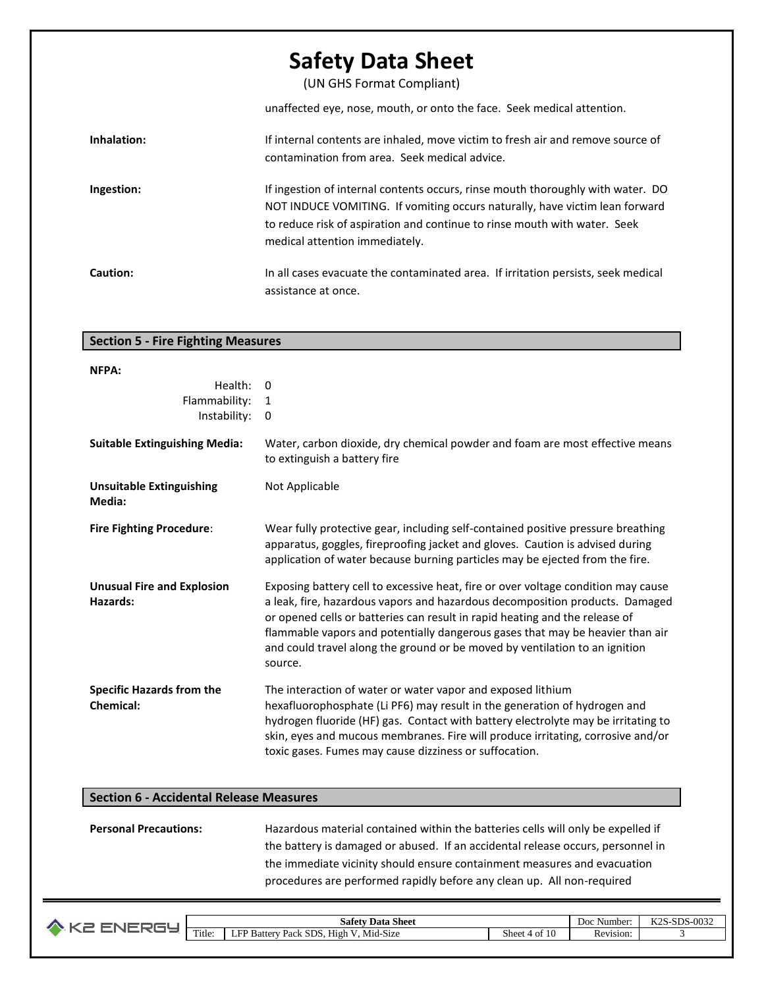(UN GHS Format Compliant)

unaffected eye, nose, mouth, or onto the face. Seek medical attention.

| Inhalation: | If internal contents are inhaled, move victim to fresh air and remove source of<br>contamination from area. Seek medical advice.                                                                                                                                              |
|-------------|-------------------------------------------------------------------------------------------------------------------------------------------------------------------------------------------------------------------------------------------------------------------------------|
| Ingestion:  | If ingestion of internal contents occurs, rinse mouth thoroughly with water. DO<br>NOT INDUCE VOMITING. If vomiting occurs naturally, have victim lean forward<br>to reduce risk of aspiration and continue to rinse mouth with water. Seek<br>medical attention immediately. |
| Caution:    | In all cases evacuate the contaminated area. If irritation persists, seek medical<br>assistance at once.                                                                                                                                                                      |

### **Section 5 - Fire Fighting Measures**

| NFPA:                                                |                                                                                                                                                                                                                                                                                                                                                                                                                             |
|------------------------------------------------------|-----------------------------------------------------------------------------------------------------------------------------------------------------------------------------------------------------------------------------------------------------------------------------------------------------------------------------------------------------------------------------------------------------------------------------|
| Health:<br>Flammability:<br>Instability:             | $\Omega$<br>1<br>0                                                                                                                                                                                                                                                                                                                                                                                                          |
| <b>Suitable Extinguishing Media:</b>                 | Water, carbon dioxide, dry chemical powder and foam are most effective means<br>to extinguish a battery fire                                                                                                                                                                                                                                                                                                                |
| <b>Unsuitable Extinguishing</b><br>Media:            | Not Applicable                                                                                                                                                                                                                                                                                                                                                                                                              |
| <b>Fire Fighting Procedure:</b>                      | Wear fully protective gear, including self-contained positive pressure breathing<br>apparatus, goggles, fireproofing jacket and gloves. Caution is advised during<br>application of water because burning particles may be ejected from the fire.                                                                                                                                                                           |
| <b>Unusual Fire and Explosion</b><br>Hazards:        | Exposing battery cell to excessive heat, fire or over voltage condition may cause<br>a leak, fire, hazardous vapors and hazardous decomposition products. Damaged<br>or opened cells or batteries can result in rapid heating and the release of<br>flammable vapors and potentially dangerous gases that may be heavier than air<br>and could travel along the ground or be moved by ventilation to an ignition<br>source. |
| <b>Specific Hazards from the</b><br><b>Chemical:</b> | The interaction of water or water vapor and exposed lithium<br>hexafluorophosphate (Li PF6) may result in the generation of hydrogen and<br>hydrogen fluoride (HF) gas. Contact with battery electrolyte may be irritating to<br>skin, eyes and mucous membranes. Fire will produce irritating, corrosive and/or<br>toxic gases. Fumes may cause dizziness or suffocation.                                                  |

### **Section 6 - Accidental Release Measures**

**Personal Precautions:** Hazardous material contained within the batteries cells will only be expelled if the battery is damaged or abused. If an accidental release occurs, personnel in the immediate vicinity should ensure containment measures and evacuation procedures are performed rapidly before any clean up. All non-required

| <b>Data Sheet</b><br>safet |                                                                        |                             | Number<br>Doc      | $\sim 0025$<br>エンヘぐ<br>$_{\text{enc}}$<br>N 40<br>່າ∹ລ⊔ພ່<br>-ww |
|----------------------------|------------------------------------------------------------------------|-----------------------------|--------------------|------------------------------------------------------------------|
| Title:                     | Mid-Size<br><b>Battery</b><br>ы<br>Pack<br>High<br>. טעט<br>-au N<br>ப | Sheet<br>. .<br>4 of<br>-10 | Revision:<br>17C v |                                                                  |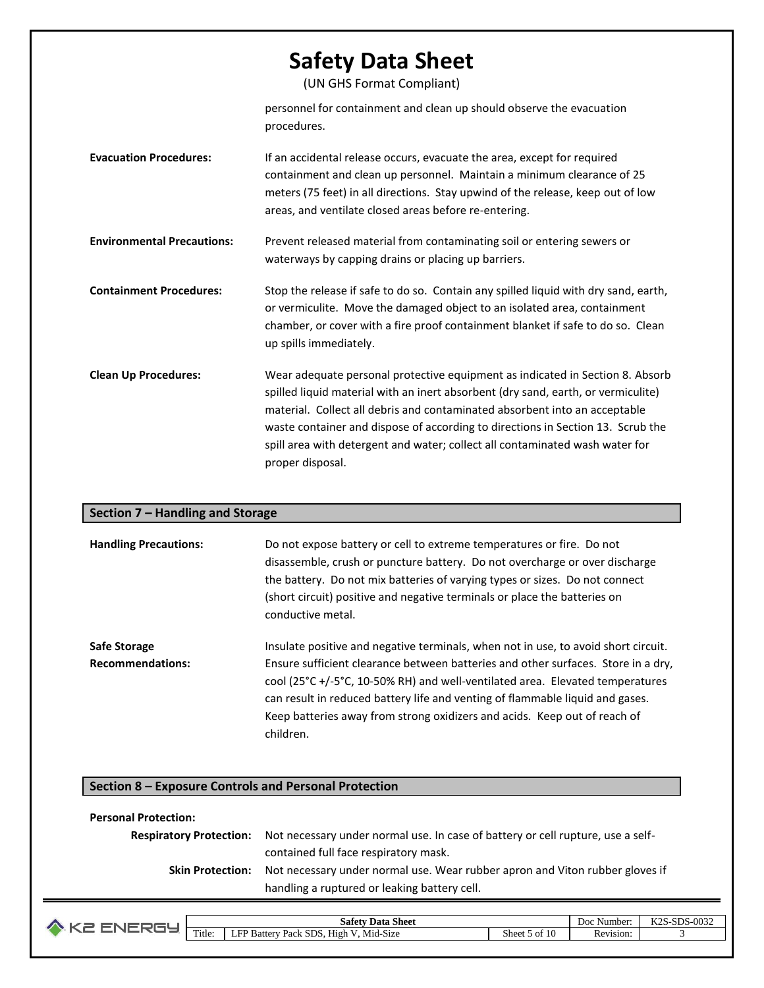(UN GHS Format Compliant)

personnel for containment and clean up should observe the evacuation procedures.

| <b>Evacuation Procedures:</b> | If an accidental release occurs, evacuate the area, except for required         |  |
|-------------------------------|---------------------------------------------------------------------------------|--|
|                               | containment and clean up personnel. Maintain a minimum clearance of 25          |  |
|                               | meters (75 feet) in all directions. Stay upwind of the release, keep out of low |  |
|                               | areas, and ventilate closed areas before re-entering.                           |  |
|                               |                                                                                 |  |

**Environmental Precautions:** Prevent released material from contaminating soil or entering sewers or waterways by capping drains or placing up barriers.

**Containment Procedures:** Stop the release if safe to do so. Contain any spilled liquid with dry sand, earth, or vermiculite. Move the damaged object to an isolated area, containment chamber, or cover with a fire proof containment blanket if safe to do so. Clean up spills immediately.

**Clean Up Procedures:** Wear adequate personal protective equipment as indicated in Section 8. Absorb spilled liquid material with an inert absorbent (dry sand, earth, or vermiculite) material. Collect all debris and contaminated absorbent into an acceptable waste container and dispose of according to directions in Section 13. Scrub the spill area with detergent and water; collect all contaminated wash water for proper disposal.

#### **Section 7 – Handling and Storage**

| <b>Handling Precautions:</b>                   | Do not expose battery or cell to extreme temperatures or fire. Do not<br>disassemble, crush or puncture battery. Do not overcharge or over discharge<br>the battery. Do not mix batteries of varying types or sizes. Do not connect<br>(short circuit) positive and negative terminals or place the batteries on<br>conductive metal.                                                                                                                     |
|------------------------------------------------|-----------------------------------------------------------------------------------------------------------------------------------------------------------------------------------------------------------------------------------------------------------------------------------------------------------------------------------------------------------------------------------------------------------------------------------------------------------|
| <b>Safe Storage</b><br><b>Recommendations:</b> | Insulate positive and negative terminals, when not in use, to avoid short circuit.<br>Ensure sufficient clearance between batteries and other surfaces. Store in a dry,<br>cool ( $25^{\circ}$ C +/-5 $^{\circ}$ C, 10-50% RH) and well-ventilated area. Elevated temperatures<br>can result in reduced battery life and venting of flammable liquid and gases.<br>Keep batteries away from strong oxidizers and acids. Keep out of reach of<br>children. |

#### **Section 8 – Exposure Controls and Personal Protection**

#### **Personal Protection:**

| <b>Respiratory Protection:</b> | Not necessary under normal use. In case of battery or cell rupture, use a self- |
|--------------------------------|---------------------------------------------------------------------------------|
|                                | contained full face respiratory mask.                                           |
| <b>Skin Protection:</b>        | Not necessary under normal use. Wear rubber apron and Viton rubber gloves if    |
|                                | handling a ruptured or leaking battery cell.                                    |

| ا Sheet<br>Data<br>Safety |                                                                                              |                         | Doc<br>Number.                     | $-SDS-0032$<br>レつぐ<br>NAC |
|---------------------------|----------------------------------------------------------------------------------------------|-------------------------|------------------------------------|---------------------------|
| Title.                    | $\cdots$<br>$- - -$<br><b>CD</b> 1<br>SDS.<br>Hıgh<br>. Mid-Size<br>√ Pack ≻<br>"batter<br>ப | $\sim$<br>Sheet .<br>ωı | $-$<br>Rev <sup>*</sup><br>/1S1ON: |                           |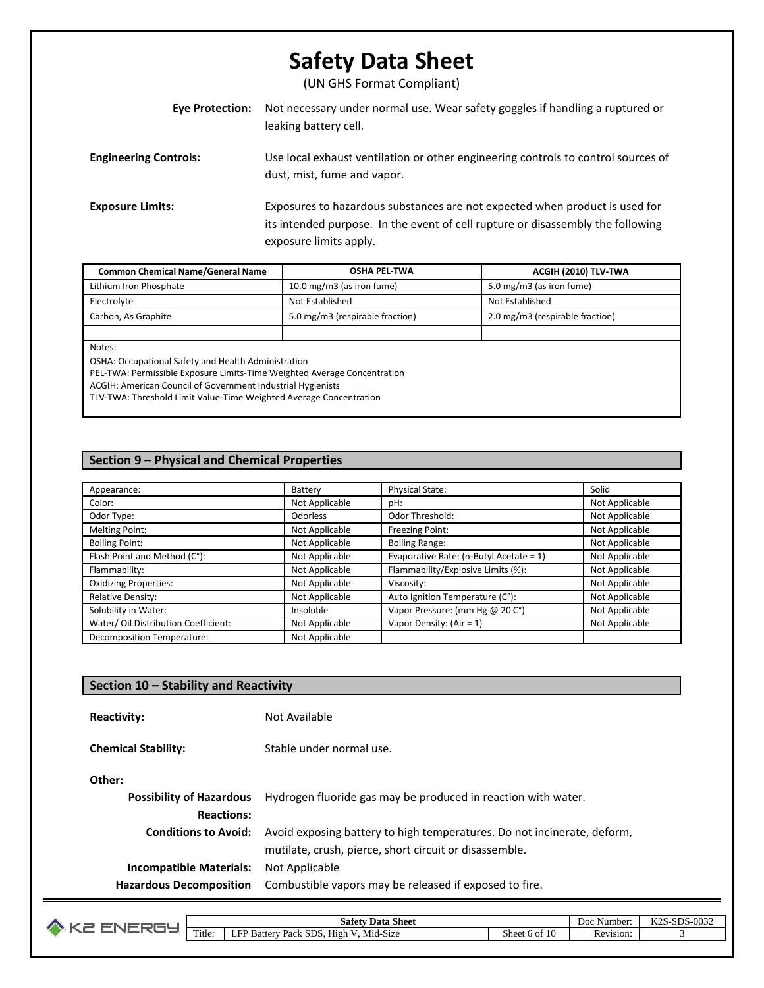(UN GHS Format Compliant)

| Eye Protection:              | Not necessary under normal use. Wear safety goggles if handling a ruptured or<br>leaking battery cell.                                                                                   |
|------------------------------|------------------------------------------------------------------------------------------------------------------------------------------------------------------------------------------|
| <b>Engineering Controls:</b> | Use local exhaust ventilation or other engineering controls to control sources of<br>dust, mist, fume and vapor.                                                                         |
| <b>Exposure Limits:</b>      | Exposures to hazardous substances are not expected when product is used for<br>its intended purpose. In the event of cell rupture or disassembly the following<br>exposure limits apply. |

| <b>Common Chemical Name/General Name</b>                                                                                        | <b>OSHA PEL-TWA</b>             | ACGIH (2010) TLV-TWA            |  |  |  |
|---------------------------------------------------------------------------------------------------------------------------------|---------------------------------|---------------------------------|--|--|--|
| Lithium Iron Phosphate                                                                                                          | 10.0 mg/m3 (as iron fume)       | 5.0 mg/m3 (as iron fume)        |  |  |  |
| Electrolyte                                                                                                                     | Not Established                 | Not Established                 |  |  |  |
| Carbon, As Graphite                                                                                                             | 5.0 mg/m3 (respirable fraction) | 2.0 mg/m3 (respirable fraction) |  |  |  |
|                                                                                                                                 |                                 |                                 |  |  |  |
| Notes:                                                                                                                          |                                 |                                 |  |  |  |
| OSHA: Occupational Safety and Health Administration<br>PEL-TWA: Permissible Exposure Limits-Time Weighted Average Concentration |                                 |                                 |  |  |  |

ACGIH: American Council of Government Industrial Hygienists

TLV-TWA: Threshold Limit Value-Time Weighted Average Concentration

### **Section 9 – Physical and Chemical Properties**

| Appearance:                          | Battery         | Physical State:                         | Solid          |
|--------------------------------------|-----------------|-----------------------------------------|----------------|
| Color:                               | Not Applicable  | pH:                                     | Not Applicable |
| Odor Type:                           | <b>Odorless</b> | Odor Threshold:                         | Not Applicable |
| Melting Point:                       | Not Applicable  | Freezing Point:                         | Not Applicable |
| <b>Boiling Point:</b>                | Not Applicable  | <b>Boiling Range:</b>                   | Not Applicable |
| Flash Point and Method (C°):         | Not Applicable  | Evaporative Rate: (n-Butyl Acetate = 1) | Not Applicable |
| Flammability:                        | Not Applicable  | Flammability/Explosive Limits (%):      | Not Applicable |
| <b>Oxidizing Properties:</b>         | Not Applicable  | Viscosity:                              | Not Applicable |
| <b>Relative Density:</b>             | Not Applicable  | Auto Ignition Temperature (C°):         | Not Applicable |
| Solubility in Water:                 | Insoluble       | Vapor Pressure: (mm Hg @ 20 C°)         | Not Applicable |
| Water/ Oil Distribution Coefficient: | Not Applicable  | Vapor Density: $(Air = 1)$              | Not Applicable |
| Decomposition Temperature:           | Not Applicable  |                                         |                |

| Section 10 - Stability and Reactivity                            |                                                                                                                                   |  |  |
|------------------------------------------------------------------|-----------------------------------------------------------------------------------------------------------------------------------|--|--|
| <b>Reactivity:</b>                                               | Not Available                                                                                                                     |  |  |
| <b>Chemical Stability:</b>                                       | Stable under normal use.                                                                                                          |  |  |
| Other:                                                           |                                                                                                                                   |  |  |
| <b>Possibility of Hazardous</b><br><b>Reactions:</b>             | Hydrogen fluoride gas may be produced in reaction with water.                                                                     |  |  |
| <b>Conditions to Avoid:</b>                                      | Avoid exposing battery to high temperatures. Do not incinerate, deform,<br>mutilate, crush, pierce, short circuit or disassemble. |  |  |
| <b>Incompatible Materials:</b><br><b>Hazardous Decomposition</b> | Not Applicable<br>Combustible vapors may be released if exposed to fire.                                                          |  |  |

| $\sim$<br>Data Sheet<br>safety |                                                                                         | $\sim$ $\sim$<br>Doc<br>Number                  | 002c<br>$T/T$ $\cap$ $\cap$<br>CDC<br>$-0.002$<br>$\sim$ $\sim$ $\sim$<br>נ⊾∠ |  |
|--------------------------------|-----------------------------------------------------------------------------------------|-------------------------------------------------|-------------------------------------------------------------------------------|--|
| Title:                         | .<br>Mid-Size<br>$- - - -$<br><b>SDS</b><br>ED R<br>-<br>Battery<br>. Pack<br>High<br>◡ | $\sim$ $\sim$<br>$\sim$<br>sheet<br>V OI<br>1 U | Revision:                                                                     |  |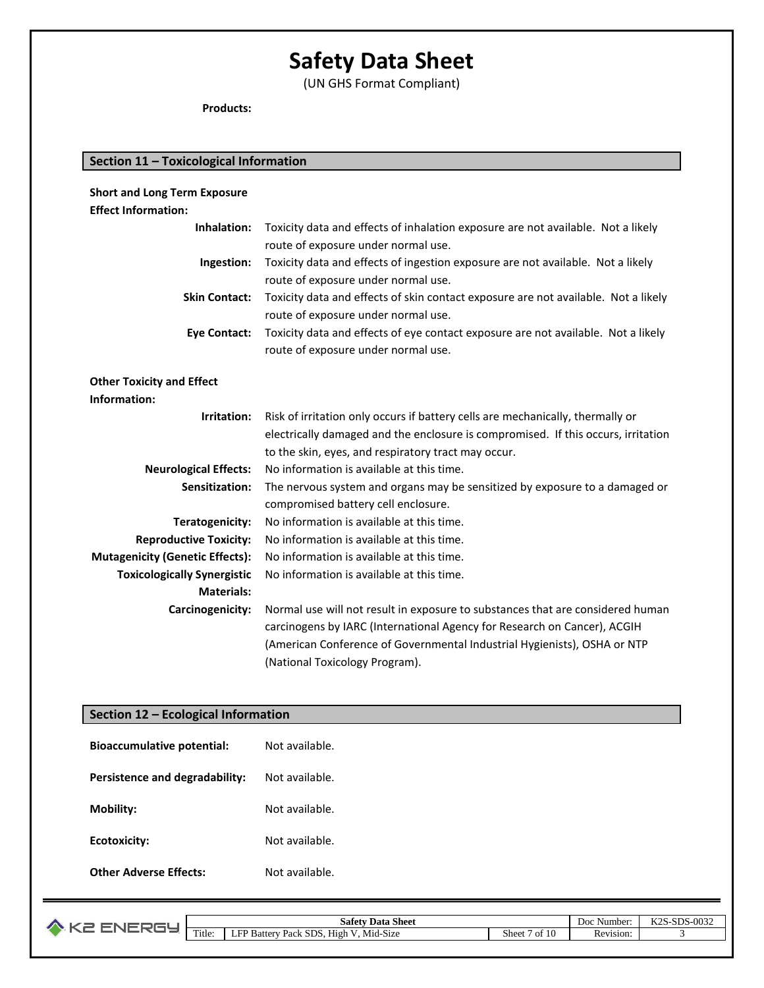(UN GHS Format Compliant)

**Products:**

| Section 11 - Toxicological Information |                                                                                    |  |  |  |
|----------------------------------------|------------------------------------------------------------------------------------|--|--|--|
|                                        |                                                                                    |  |  |  |
| <b>Short and Long Term Exposure</b>    |                                                                                    |  |  |  |
| <b>Effect Information:</b>             |                                                                                    |  |  |  |
| Inhalation:                            | Toxicity data and effects of inhalation exposure are not available. Not a likely   |  |  |  |
|                                        | route of exposure under normal use.                                                |  |  |  |
| Ingestion:                             | Toxicity data and effects of ingestion exposure are not available. Not a likely    |  |  |  |
|                                        | route of exposure under normal use.                                                |  |  |  |
| <b>Skin Contact:</b>                   | Toxicity data and effects of skin contact exposure are not available. Not a likely |  |  |  |
|                                        | route of exposure under normal use.                                                |  |  |  |
| <b>Eye Contact:</b>                    | Toxicity data and effects of eye contact exposure are not available. Not a likely  |  |  |  |
|                                        | route of exposure under normal use.                                                |  |  |  |
|                                        |                                                                                    |  |  |  |
| <b>Other Toxicity and Effect</b>       |                                                                                    |  |  |  |
| Information:                           |                                                                                    |  |  |  |
| Irritation:                            | Risk of irritation only occurs if battery cells are mechanically, thermally or     |  |  |  |
|                                        | electrically damaged and the enclosure is compromised. If this occurs, irritation  |  |  |  |
|                                        | to the skin, eyes, and respiratory tract may occur.                                |  |  |  |
| <b>Neurological Effects:</b>           | No information is available at this time.                                          |  |  |  |
| Sensitization:                         | The nervous system and organs may be sensitized by exposure to a damaged or        |  |  |  |
|                                        | compromised battery cell enclosure.                                                |  |  |  |
| Teratogenicity:                        | No information is available at this time.                                          |  |  |  |
| <b>Reproductive Toxicity:</b>          | No information is available at this time.                                          |  |  |  |
| <b>Mutagenicity (Genetic Effects):</b> | No information is available at this time.                                          |  |  |  |
| <b>Toxicologically Synergistic</b>     | No information is available at this time.                                          |  |  |  |
| <b>Materials:</b>                      |                                                                                    |  |  |  |
| Carcinogenicity:                       | Normal use will not result in exposure to substances that are considered human     |  |  |  |
|                                        | carcinogens by IARC (International Agency for Research on Cancer), ACGIH           |  |  |  |
|                                        | (American Conference of Governmental Industrial Hygienists), OSHA or NTP           |  |  |  |
|                                        | (National Toxicology Program).                                                     |  |  |  |

### **Section 12 – Ecological Information**

| <b>Bioaccumulative potential:</b> | Not available. |
|-----------------------------------|----------------|
| Persistence and degradability:    | Not available. |
| Mobility:                         | Not available. |
| Ecotoxicity:                      | Not available. |
| <b>Other Adverse Effects:</b>     | Not available. |

| J. |        | $\sim$<br>$\mathbf{r}$<br>Sheet<br>Safety<br>Data                      |             | - -<br>Number<br>Doc | -0032<br>17 n Cl<br>$_{\rm cnc}$<br>n 40 |
|----|--------|------------------------------------------------------------------------|-------------|----------------------|------------------------------------------|
|    | Title. | .<br>$\sim$<br>High<br>SDS.<br>Battery<br>Pack<br>Mid<br>1-S12e<br>. . | Sheet<br>ΩŤ | Revision:            |                                          |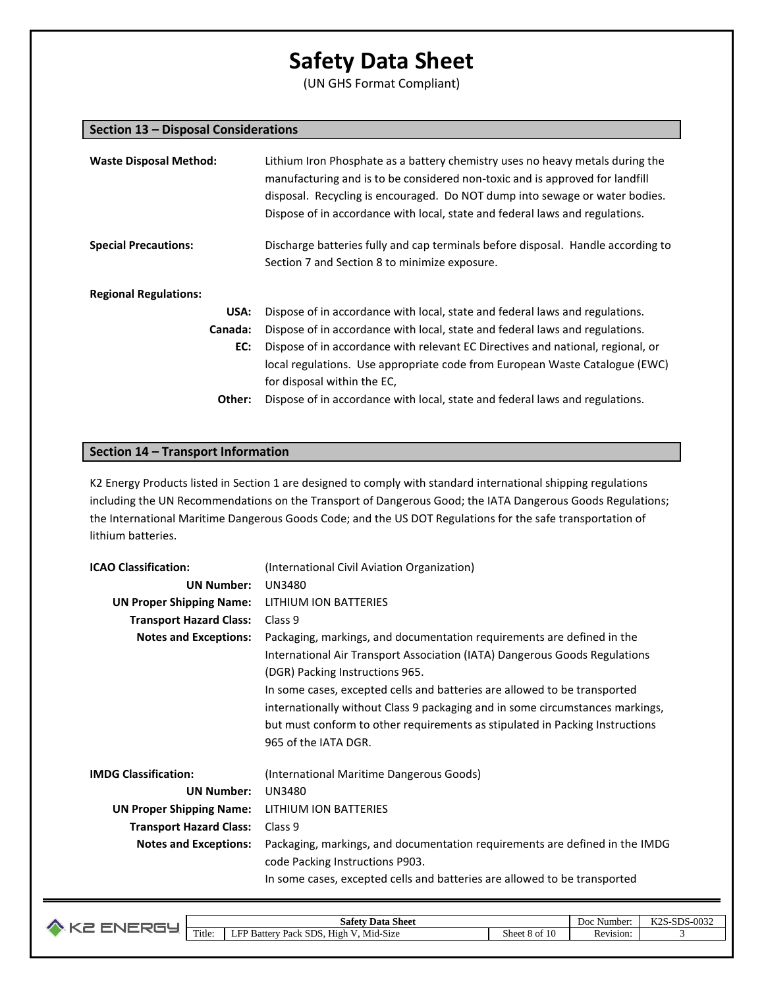(UN GHS Format Compliant)

#### **Section 13 – Disposal Considerations**

| <b>Waste Disposal Method:</b> | Lithium Iron Phosphate as a battery chemistry uses no heavy metals during the<br>manufacturing and is to be considered non-toxic and is approved for landfill<br>disposal. Recycling is encouraged. Do NOT dump into sewage or water bodies.<br>Dispose of in accordance with local, state and federal laws and regulations. |  |  |
|-------------------------------|------------------------------------------------------------------------------------------------------------------------------------------------------------------------------------------------------------------------------------------------------------------------------------------------------------------------------|--|--|
| <b>Special Precautions:</b>   | Discharge batteries fully and cap terminals before disposal. Handle according to<br>Section 7 and Section 8 to minimize exposure.                                                                                                                                                                                            |  |  |
| <b>Regional Regulations:</b>  |                                                                                                                                                                                                                                                                                                                              |  |  |
| USA:                          | Dispose of in accordance with local, state and federal laws and regulations.                                                                                                                                                                                                                                                 |  |  |
| Canada:                       | Dispose of in accordance with local, state and federal laws and regulations.                                                                                                                                                                                                                                                 |  |  |
| EC:                           | Dispose of in accordance with relevant EC Directives and national, regional, or                                                                                                                                                                                                                                              |  |  |
|                               | local regulations. Use appropriate code from European Waste Catalogue (EWC)                                                                                                                                                                                                                                                  |  |  |
|                               | for disposal within the EC,                                                                                                                                                                                                                                                                                                  |  |  |
| Other:                        | Dispose of in accordance with local, state and federal laws and regulations.                                                                                                                                                                                                                                                 |  |  |

### **Section 14 – Transport Information**

K2 Energy Products listed in Section 1 are designed to comply with standard international shipping regulations including the UN Recommendations on the Transport of Dangerous Good; the IATA Dangerous Goods Regulations; the International Maritime Dangerous Goods Code; and the US DOT Regulations for the safe transportation of lithium batteries.

| <b>ICAO Classification:</b>     | (International Civil Aviation Organization)                                   |
|---------------------------------|-------------------------------------------------------------------------------|
| <b>UN Number:</b>               | UN3480                                                                        |
| <b>UN Proper Shipping Name:</b> | LITHIUM ION BATTERIES                                                         |
| <b>Transport Hazard Class:</b>  | Class 9                                                                       |
| <b>Notes and Exceptions:</b>    | Packaging, markings, and documentation requirements are defined in the        |
|                                 | International Air Transport Association (IATA) Dangerous Goods Regulations    |
|                                 | (DGR) Packing Instructions 965.                                               |
|                                 | In some cases, excepted cells and batteries are allowed to be transported     |
|                                 | internationally without Class 9 packaging and in some circumstances markings, |
|                                 | but must conform to other requirements as stipulated in Packing Instructions  |
|                                 | 965 of the IATA DGR.                                                          |
| <b>IMDG Classification:</b>     | (International Maritime Dangerous Goods)                                      |
| <b>UN Number:</b>               | <b>UN3480</b>                                                                 |
| <b>UN Proper Shipping Name:</b> | LITHIUM ION BATTERIES                                                         |
| <b>Transport Hazard Class:</b>  | Class 9                                                                       |
| <b>Notes and Exceptions:</b>    | Packaging, markings, and documentation requirements are defined in the IMDG   |
|                                 | code Packing Instructions P903.                                               |
|                                 | In some cases, excepted cells and batteries are allowed to be transported     |

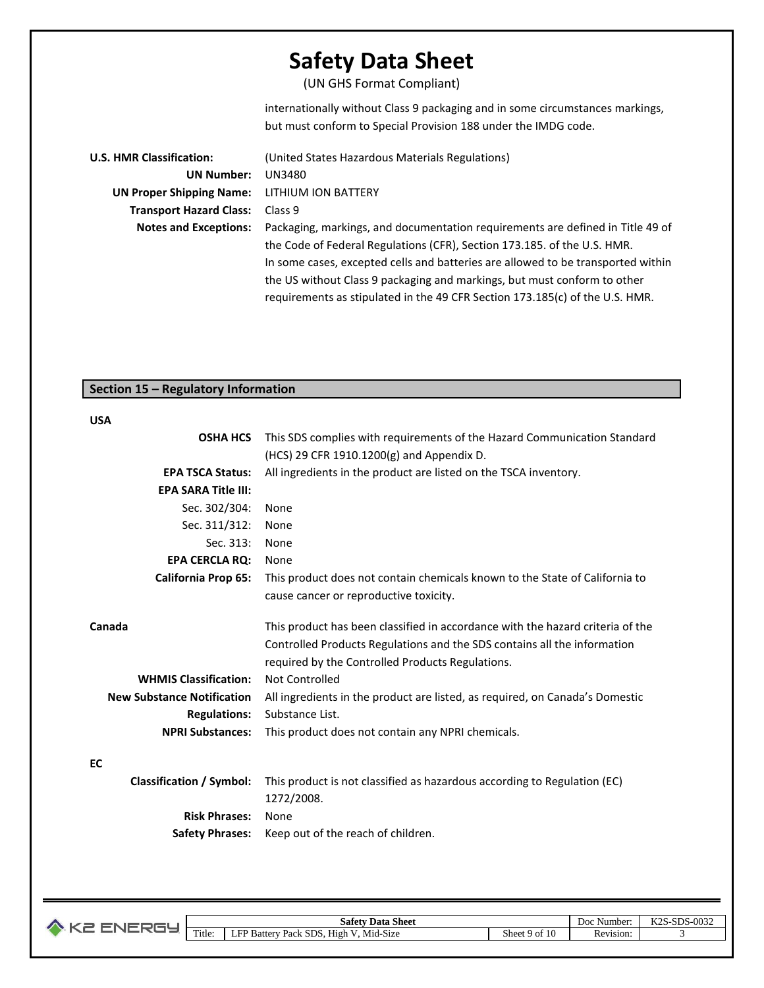(UN GHS Format Compliant)

internationally without Class 9 packaging and in some circumstances markings, but must conform to Special Provision 188 under the IMDG code.

| <b>U.S. HMR Classification:</b> | (United States Hazardous Materials Regulations)                                  |
|---------------------------------|----------------------------------------------------------------------------------|
| <b>UN Number:</b>               | UN3480                                                                           |
| <b>UN Proper Shipping Name:</b> | LITHIUM ION BATTERY                                                              |
| <b>Transport Hazard Class:</b>  | Class 9                                                                          |
| <b>Notes and Exceptions:</b>    | Packaging, markings, and documentation requirements are defined in Title 49 of   |
|                                 | the Code of Federal Regulations (CFR), Section 173.185. of the U.S. HMR.         |
|                                 | In some cases, excepted cells and batteries are allowed to be transported within |
|                                 | the US without Class 9 packaging and markings, but must conform to other         |
|                                 | requirements as stipulated in the 49 CFR Section 173.185(c) of the U.S. HMR.     |

### **Section 15 – Regulatory Information**

#### **USA**

| <b>OSHA HCS</b>                   | This SDS complies with requirements of the Hazard Communication Standard       |
|-----------------------------------|--------------------------------------------------------------------------------|
|                                   | (HCS) 29 CFR 1910.1200(g) and Appendix D.                                      |
| <b>EPA TSCA Status:</b>           | All ingredients in the product are listed on the TSCA inventory.               |
| <b>EPA SARA Title III:</b>        |                                                                                |
| Sec. 302/304:                     | None                                                                           |
| Sec. 311/312:                     | None                                                                           |
| Sec. 313:                         | None                                                                           |
| <b>EPA CERCLA RO:</b>             | None                                                                           |
| <b>California Prop 65:</b>        | This product does not contain chemicals known to the State of California to    |
|                                   | cause cancer or reproductive toxicity.                                         |
|                                   |                                                                                |
| Canada                            | This product has been classified in accordance with the hazard criteria of the |
|                                   | Controlled Products Regulations and the SDS contains all the information       |
|                                   | required by the Controlled Products Regulations.                               |
| <b>WHMIS Classification:</b>      | Not Controlled                                                                 |
| <b>New Substance Notification</b> | All ingredients in the product are listed, as required, on Canada's Domestic   |
| <b>Regulations:</b>               | Substance List.                                                                |
| <b>NPRI Substances:</b>           | This product does not contain any NPRI chemicals.                              |
| <b>EC</b>                         |                                                                                |
| <b>Classification / Symbol:</b>   | This product is not classified as hazardous according to Regulation (EC)       |
|                                   | 1272/2008.                                                                     |
| <b>Risk Phrases:</b>              | None                                                                           |
|                                   |                                                                                |
| <b>Safety Phrases:</b>            | Keep out of the reach of children.                                             |

| Ø |        | Data Sheet<br>-safety i                            |               | Doc<br>Number:                        | ワウロ<br>$_{\text{enc}}$<br>S-0032<br>∼-<br>נגע<br>N 40 |
|---|--------|----------------------------------------------------|---------------|---------------------------------------|-------------------------------------------------------|
|   | Title: | . Mid-Size<br>EL<br>: SDS. High<br>Battery<br>Pack | Sheet 9 of 10 | $\overline{\phantom{a}}$<br>Revision: |                                                       |